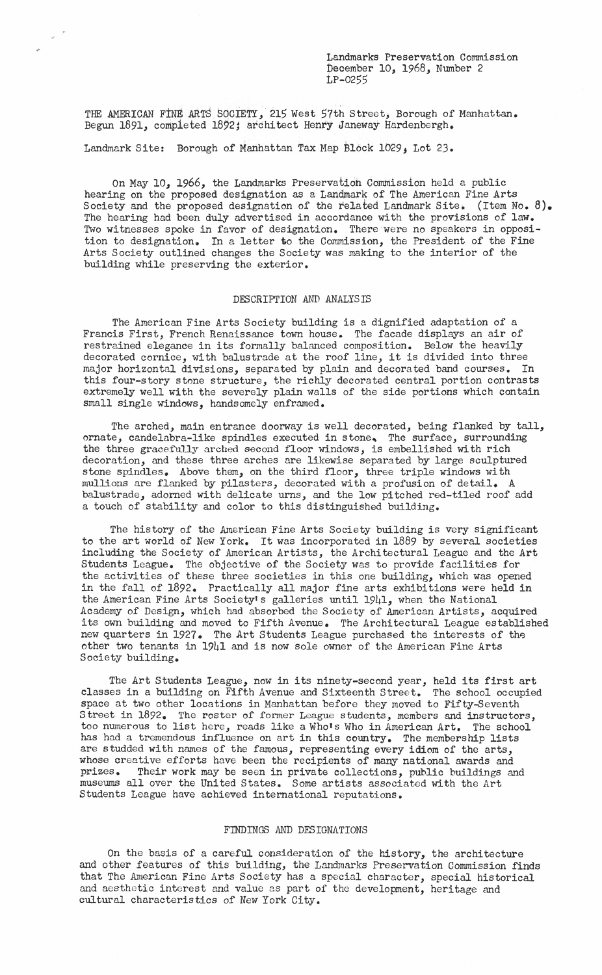Landmarks Preservation Commission December 10, 1968, Number 2 LP-0255

THE AMERICAN FINE ARTS SOCIETY, 215 West 57th Street, Borough of Manhattan. Begun 1891, completed 1892; architect Henry Janeway Hardenbergh.

Landmark Site: Borough of Manhattan Tax Map Block 1029, Lot 23.

On May 10, 1966, the Landmarks Preservation Commission held a public hearing on the proposed designation as a Landmark of The American Fine Arts Society and the proposed designation of the related Landmark Site. (Item No. 8). The hearing had been duly advertised in accordance with the provisions of law. Two witnesses spoke in favor of designation. There were no speakers in opposition to designation. In a letter to the Commission, the President of the Fine Arts Society outlined changes the Society was making to the interior of the building while preserving the exterior.

## DESCRIPTION AND ANALYSIS

The American Fine Arts Society building is a dignified adaptation of a Francis First, French Renaissance town house. The facade displays an air of restrained elegance in its formally balanced composition. Below the heavily decorated cornice, with balustrade at the roof line, it is divided into three major horizontal divisions, separated by plain and decorated band courses. In this four-story stone structure, the richly decorated central portion contrasts extremely well with the severely plain walls of the side portions which contain small single windows, handsomely enframed.

The arched, main entrance doorway is well decorated, being flanked by tall, ornate, candelabra-like spindles executed in stone. The surface, surrounding the three gracefully arched second floor windows, is embellished with rich decoration, and these three arches are likewise separated by large sculptured stone spindles. Above them, on the third floor, three triple windows with mullions are flanked by pilasters, decorated with a profusion of detail. A balustrade, adorned with delicate urns, and the low pitched red-tiled roof add a touch of stability and color to this distinguished building.

The history of the American Fine Arts Society building is very significant to the art world of New York. It was incorporated in 1889 by several societies including the Society of American Artists, the Architectural League and the Art Students League. The objective of the Society was to provide facilities for the activities of these three societies in this one building, which was opened in the fall of 1892. Practically all major fine arts exhibitions were held in the American Fine Arts Society's galleries until 1941, when the National Academy of Design, which had absorbed the Society of American Artists, acquired its own building and moved to Fifth Avenue. The Architectural League established new quarters in 1927. The Art Students League purchased the interests of the other two tenants in 1941 and is now sole owner of the American Fine Arts Society building.

The Art Students League, now in its ninety-second year, held its first art classes in a building on Fifth Avenue and Sixteenth Street. The school occupied space at two other locations in Manhattan before they moved to Fifty-Seventh Street in 1892. The roster of former League students, members and instructors, too numerous to list here, reads like a Who's Who in American Art. The school has had a tremendous influence on art in this country. The membership lists are studded with names of the famous, representing every idiom of the arts, whose creative efforts have been the recipients of many national awards and prizes. Their work may be seen in private collections, public buildings and Their work may be seen in private collections, public buildings and museums all over the United States. Some artists associated with the Art Students League have achieved international reputations.

## FINDINGS AND DESIGNATIONS

On the basis of a careful consideration of the history, the architecture and other features of this building, the Landmarks Preservation Commission finds that The American Fine Arts Society has a special character, special historical and aesthetic interest and value as part of the development, heritage and cultural characteristics of *New* York City.